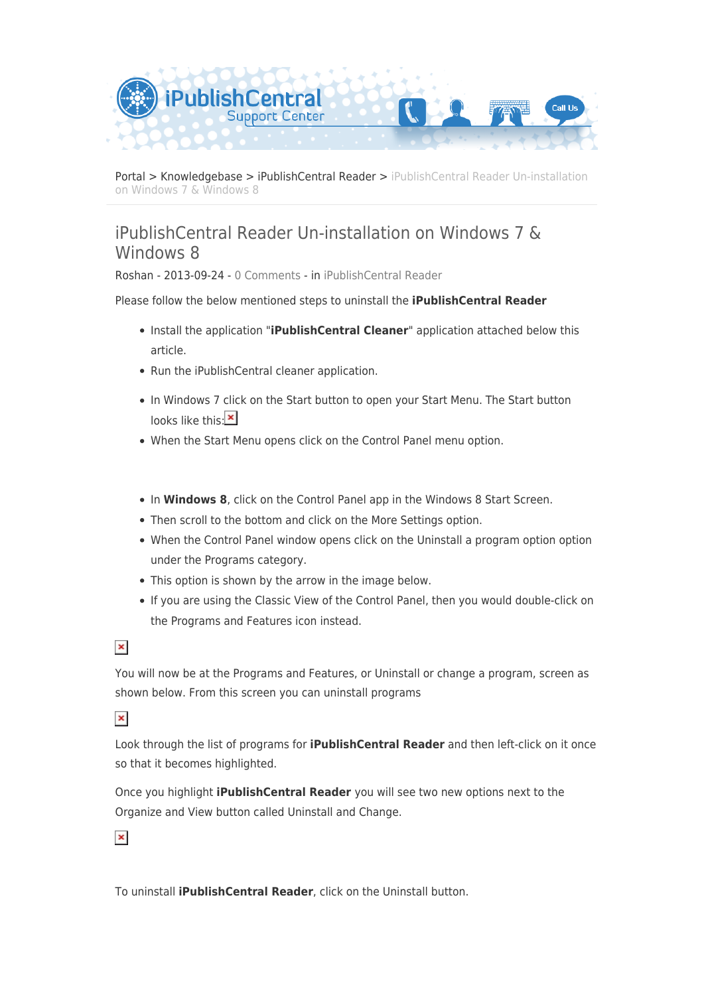

[Portal](https://ipublishcentral.deskpro.com/en) > [Knowledgebase](https://ipublishcentral.deskpro.com/en/kb) > [iPublishCentral Reader](https://ipublishcentral.deskpro.com/en/kb/ipublishcentral-reader) > [iPublishCentral Reader Un-installation](https://ipublishcentral.deskpro.com/en/kb/articles/ipublishcentral-reader-un-installation-on-windows-7-windows-8) [on Windows 7 & Windows 8](https://ipublishcentral.deskpro.com/en/kb/articles/ipublishcentral-reader-un-installation-on-windows-7-windows-8)

## iPublishCentral Reader Un-installation on Windows 7 & Windows 8

Roshan - 2013-09-24 - [0 Comments](#page--1-0) - in [iPublishCentral Reader](https://ipublishcentral.deskpro.com/en/kb/ipublishcentral-reader)

Please follow the below mentioned steps to uninstall the **iPublishCentral Reader**

- Install the application "**iPublishCentral Cleaner**" application attached below this article.
- Run the iPublishCentral cleaner application.
- In Windows 7 click on the Start button to open your Start Menu. The Start button looks like this: $\mathbf{x}$
- When the Start Menu opens click on the Control Panel menu option.
- In **Windows 8**, click on the Control Panel app in the Windows 8 Start Screen.
- Then scroll to the bottom and click on the More Settings option.
- When the Control Panel window opens click on the Uninstall a program option option under the Programs category.
- This option is shown by the arrow in the image below.
- If you are using the Classic View of the Control Panel, then you would double-click on the Programs and Features icon instead.

 $\pmb{\times}$ 

You will now be at the Programs and Features, or Uninstall or change a program, screen as shown below. From this screen you can uninstall programs

 $\pmb{\times}$ 

Look through the list of programs for **iPublishCentral Reader** and then left-click on it once so that it becomes highlighted.

Once you highlight **iPublishCentral Reader** you will see two new options next to the Organize and View button called Uninstall and Change.

 $\pmb{\times}$ 

To uninstall **iPublishCentral Reader**, click on the Uninstall button.